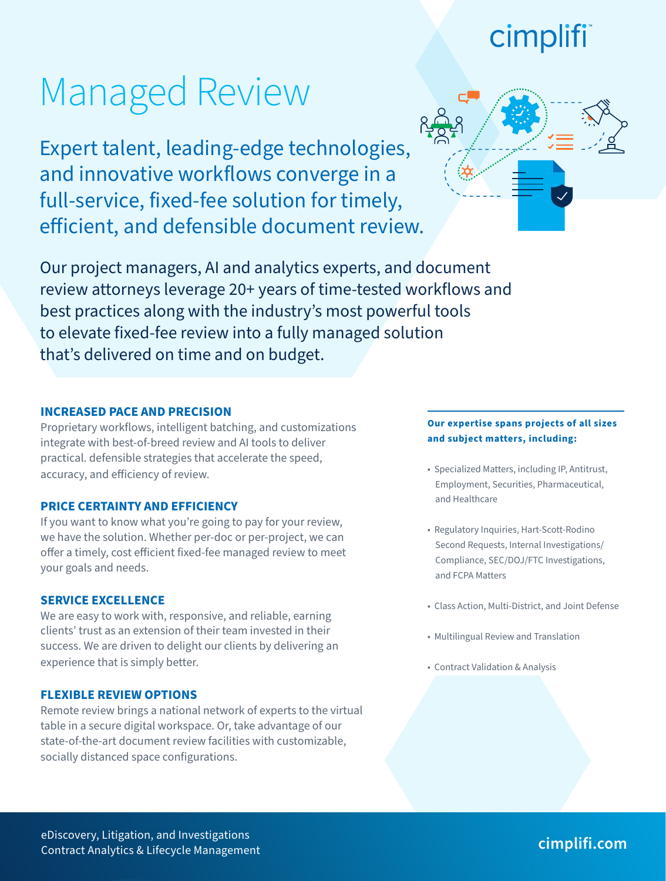# cimplifi

# Managed Review

Expert talent, leading-edge technologies, and innovative workflows converge in a full-service, fixed-fee solution for timely, efficient, and defensible document review.



Our project managers, AI and analytics experts, and document review attorneys leverage 20+ years of time-tested workflows and best practices along with the industry's most powerful tools to elevate fixed-fee review into a fully managed solution that's delivered on time and on budget.

#### **INCREASED PACE AND PRECISION**

Proprietary workflows, intelligent batching, and customizations integrate with best-of-breed review and AI tools to deliver practical. defensible strategies that accelerate the speed, accuracy, and efficiency of review.

### **PRICE CERTAINTY AND EFFICIENCY**

If you want to know what you're going to pay for your review, we have the solution. Whether per-doc or per-project, we can offer a timely, cost efficient fixed-fee managed review to meet your goals and needs.

#### **SERVICE EXCELLENCE**

We are easy to work with, responsive, and reliable, earning clients' trust as an extension of their team invested in their success. We are driven to delight our clients by delivering an experience that is simply better.

### **FLEXIBLE REVIEW OPTIONS**

Remote review brings a national network of experts to the virtual table in a secure digital workspace. Or, take advantage of our state-of-the-art document review facilities with customizable, socially distanced space configurations.

### **Our expertise spans projects of all sizes and subject matters, including:**

- Specialized Matters, including IP, Antitrust, Employment, Securities, Pharmaceutical, and Healthcare
- Regulatory Inquiries, Hart-Scott-Rodino Second Requests, Internal Investigations/ Compliance, SEC/DOJ/FTC Investigations, and FCPA Matters
- Class Action, Multi-District, and Joint Defense
- Multilingual Review and Translation
- Contract Validation & Analysis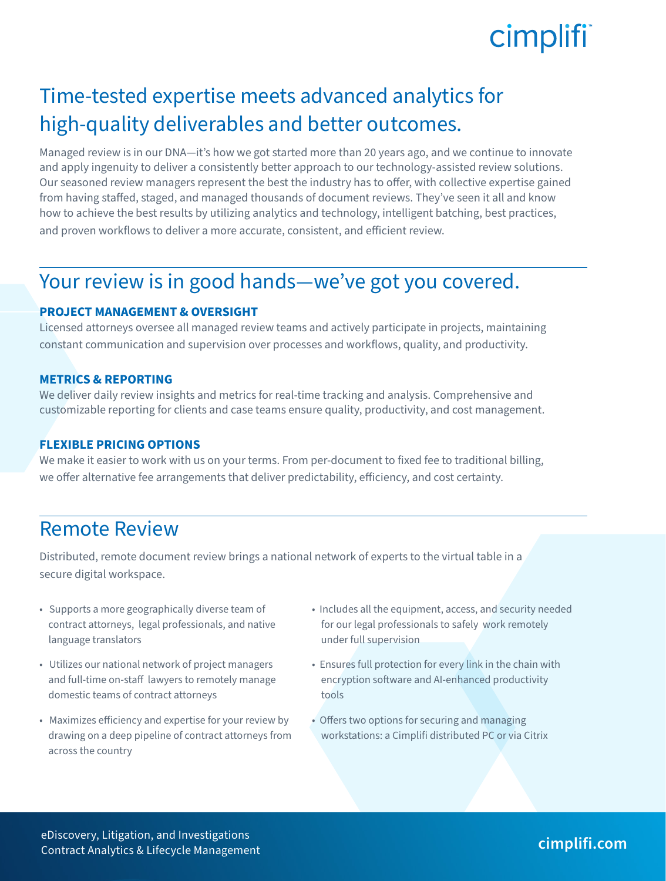## cimplifi

## Time-tested expertise meets advanced analytics for high-quality deliverables and better outcomes.

Managed review is in our DNA—it's how we got started more than 20 years ago, and we continue to innovate and apply ingenuity to deliver a consistently better approach to our technology-assisted review solutions. Our seasoned review managers represent the best the industry has to offer, with collective expertise gained from having staffed, staged, and managed thousands of document reviews. They've seen it all and know how to achieve the best results by utilizing analytics and technology, intelligent batching, best practices, and proven workflows to deliver a more accurate, consistent, and efficient review.

### Your review is in good hands—we've got you covered.

### **PROJECT MANAGEMENT & OVERSIGHT**

Licensed attorneys oversee all managed review teams and actively participate in projects, maintaining constant communication and supervision over processes and workflows, quality, and productivity.

### **METRICS & REPORTING**

We deliver daily review insights and metrics for real-time tracking and analysis. Comprehensive and customizable reporting for clients and case teams ensure quality, productivity, and cost management.

### **FLEXIBLE PRICING OPTIONS**

We make it easier to work with us on your terms. From per-document to fixed fee to traditional billing, we offer alternative fee arrangements that deliver predictability, efficiency, and cost certainty.

### Remote Review

Distributed, remote document review brings a national network of experts to the virtual table in a secure digital workspace.

- Supports a more geographically diverse team of contract attorneys, legal professionals, and native language translators
- Utilizes our national network of project managers and full-time on-staff lawyers to remotely manage domestic teams of contract attorneys
- Maximizes efficiency and expertise for your review by drawing on a deep pipeline of contract attorneys from across the country
- Includes all the equipment, access, and security needed for our legal professionals to safely work remotely under full supervision
- Ensures full protection for every link in the chain with encryption software and AI-enhanced productivity tools
- Offers two options for securing and managing workstations: a Cimplifi distributed PC or via Citrix